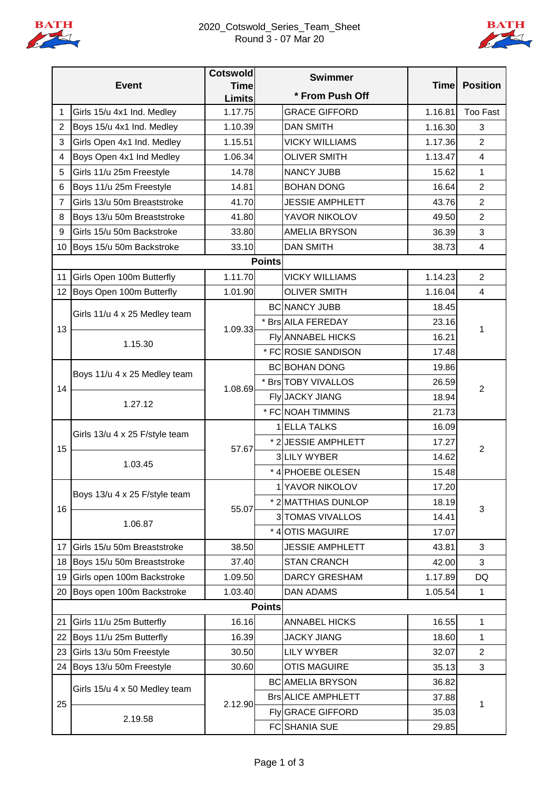



|                |                                | <b>Cotswold</b>              | <b>Swimmer</b> |                           |             |                         |
|----------------|--------------------------------|------------------------------|----------------|---------------------------|-------------|-------------------------|
| <b>Event</b>   |                                | <b>Time</b><br><b>Limits</b> |                | * From Push Off           | <b>Time</b> | <b>Position</b>         |
| 1              | Girls 15/u 4x1 Ind. Medley     | 1.17.75                      |                | <b>GRACE GIFFORD</b>      | 1.16.81     | <b>Too Fast</b>         |
| $\overline{2}$ | Boys 15/u 4x1 Ind. Medley      | 1.10.39                      |                | <b>DAN SMITH</b>          | 1.16.30     | 3                       |
| 3              | Girls Open 4x1 Ind. Medley     | 1.15.51                      |                | <b>VICKY WILLIAMS</b>     | 1.17.36     | $\overline{2}$          |
| 4              | Boys Open 4x1 Ind Medley       | 1.06.34                      |                | <b>OLIVER SMITH</b>       | 1.13.47     | $\overline{\mathbf{4}}$ |
| 5              | Girls 11/u 25m Freestyle       | 14.78                        |                | <b>NANCY JUBB</b>         | 15.62       | 1                       |
| 6              | Boys 11/u 25m Freestyle        | 14.81                        |                | <b>BOHAN DONG</b>         | 16.64       | $\overline{2}$          |
| $\overline{7}$ | Girls 13/u 50m Breaststroke    | 41.70                        |                | <b>JESSIE AMPHLETT</b>    | 43.76       | $\overline{2}$          |
| 8              | Boys 13/u 50m Breaststroke     | 41.80                        |                | YAVOR NIKOLOV             | 49.50       | $\overline{2}$          |
| 9              | Girls 15/u 50m Backstroke      | 33.80                        |                | <b>AMELIA BRYSON</b>      | 36.39       | 3                       |
| 10             | Boys 15/u 50m Backstroke       | 33.10                        |                | <b>DAN SMITH</b>          | 38.73       | 4                       |
|                |                                |                              | <b>Points</b>  |                           |             |                         |
| 11             | Girls Open 100m Butterfly      | 1.11.70                      |                | <b>VICKY WILLIAMS</b>     | 1.14.23     | $\overline{2}$          |
| 12             | Boys Open 100m Butterfly       | 1.01.90                      |                | <b>OLIVER SMITH</b>       | 1.16.04     | $\overline{4}$          |
|                | Girls 11/u 4 x 25 Medley team  |                              |                | <b>BC NANCY JUBB</b>      | 18.45       |                         |
| 13             |                                | 1.09.33                      |                | * Brs AILA FEREDAY        | 23.16       | 1                       |
|                | 1.15.30                        |                              |                | <b>Fly ANNABEL HICKS</b>  | 16.21       |                         |
|                |                                |                              |                | * FC ROSIE SANDISON       | 17.48       |                         |
|                | Boys 11/u 4 x 25 Medley team   | 1.08.69                      |                | <b>BC BOHAN DONG</b>      | 19.86       | $\overline{2}$          |
| 14             |                                |                              |                | * Brs TOBY VIVALLOS       | 26.59       |                         |
|                | 1.27.12                        |                              |                | Fly JACKY JIANG           | 18.94       |                         |
|                |                                |                              |                | * FC NOAH TIMMINS         | 21.73       |                         |
|                | Girls 13/u 4 x 25 F/style team | 57.67                        |                | 1 ELLA TALKS              | 16.09       | $\overline{2}$          |
| 15             |                                |                              |                | * 2 JESSIE AMPHLETT       | 17.27       |                         |
|                | 1.03.45                        |                              |                | 3 LILY WYBER              | 14.62       |                         |
|                |                                |                              |                | * 4 PHOEBE OLESEN         | 15.48       |                         |
|                | Boys 13/u 4 x 25 F/style team  | 55.07                        |                | 1 YAVOR NIKOLOV           | 17.20       | 3                       |
| 16             |                                |                              |                | * 2 MATTHIAS DUNLOP       | 18.19       |                         |
|                | 1.06.87                        |                              |                | 3 TOMAS VIVALLOS          | 14.41       |                         |
|                |                                |                              |                | * 4 OTIS MAGUIRE          | 17.07       |                         |
| 17             | Girls 15/u 50m Breaststroke    | 38.50                        |                | <b>JESSIE AMPHLETT</b>    | 43.81       | 3                       |
| 18             | Boys 15/u 50m Breaststroke     | 37.40                        |                | <b>STAN CRANCH</b>        | 42.00       | 3                       |
| 19             | Girls open 100m Backstroke     | 1.09.50                      |                | <b>DARCY GRESHAM</b>      | 1.17.89     | DQ                      |
| 20             | Boys open 100m Backstroke      | 1.03.40                      |                | <b>DAN ADAMS</b>          | 1.05.54     | 1                       |
|                |                                | <b>Points</b>                |                |                           |             |                         |
| 21             | Girls 11/u 25m Butterfly       | 16.16                        |                | <b>ANNABEL HICKS</b>      | 16.55       | 1                       |
| 22             | Boys 11/u 25m Butterfly        | 16.39                        |                | <b>JACKY JIANG</b>        | 18.60       | 1                       |
| 23             | Girls 13/u 50m Freestyle       | 30.50                        |                | <b>LILY WYBER</b>         | 32.07       | $\overline{2}$          |
|                | 24 Boys 13/u 50m Freestyle     | 30.60                        |                | <b>OTIS MAGUIRE</b>       | 35.13       | 3                       |
|                | Girls 15/u 4 x 50 Medley team  | 2.12.90                      |                | <b>BC</b> AMELIA BRYSON   | 36.82       | 1                       |
| 25             |                                |                              |                | <b>Brs ALICE AMPHLETT</b> | 37.88       |                         |
|                | 2.19.58                        |                              |                | Fly GRACE GIFFORD         | 35.03       |                         |
|                |                                |                              |                | <b>FC</b> SHANIA SUE      | 29.85       |                         |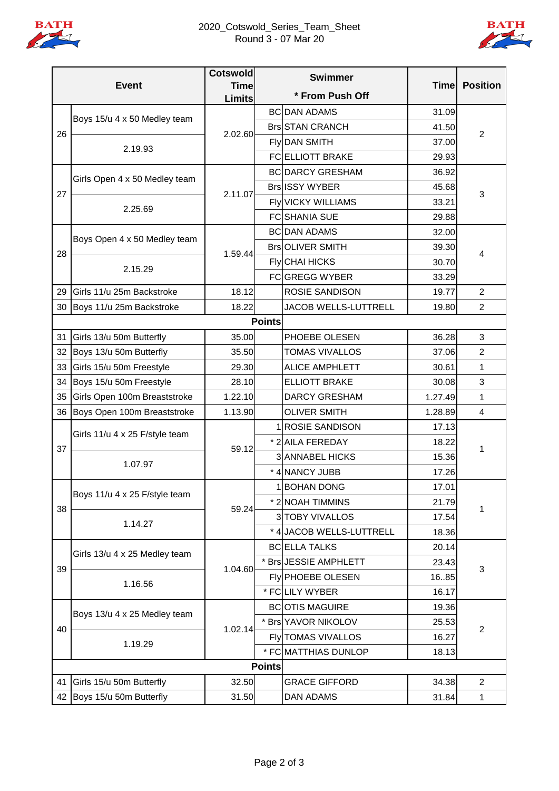

## 2020\_Cotswold\_Series\_Team\_Sheet Round 3 - 07 Mar 20



| <b>Event</b>  |                                | <b>Cotswold</b>              | <b>Swimmer</b><br>* From Push Off |                           |             | <b>Position</b>         |
|---------------|--------------------------------|------------------------------|-----------------------------------|---------------------------|-------------|-------------------------|
|               |                                | <b>Time</b><br><b>Limits</b> |                                   |                           | <b>Time</b> |                         |
|               |                                |                              |                                   | <b>BC DAN ADAMS</b>       | 31.09       |                         |
| 26            | Boys 15/u 4 x 50 Medley team   |                              |                                   | <b>Brs STAN CRANCH</b>    | 41.50       | 2                       |
|               | 2.19.93                        | 2.02.60                      |                                   | Fly DAN SMITH             | 37.00       |                         |
|               |                                |                              |                                   | <b>FCELLIOTT BRAKE</b>    | 29.93       |                         |
| 27            | Girls Open 4 x 50 Medley team  | 2.11.07                      |                                   | <b>BC DARCY GRESHAM</b>   | 36.92       | 3                       |
|               |                                |                              |                                   | <b>Brs ISSY WYBER</b>     | 45.68       |                         |
|               | 2.25.69                        |                              |                                   | <b>Fly VICKY WILLIAMS</b> | 33.21       |                         |
|               |                                |                              |                                   | <b>FC</b> SHANIA SUE      | 29.88       |                         |
|               | Boys Open 4 x 50 Medley team   | 1.59.44                      |                                   | <b>BC DAN ADAMS</b>       | 32.00       | 4                       |
|               |                                |                              |                                   | <b>BrsOLIVER SMITH</b>    | 39.30       |                         |
| 28            | 2.15.29                        |                              |                                   | <b>Fly</b> CHAI HICKS     | 30.70       |                         |
|               |                                |                              |                                   | FCGREGG WYBER             | 33.29       |                         |
| 29            | Girls 11/u 25m Backstroke      | 18.12                        |                                   | <b>ROSIE SANDISON</b>     | 19.77       | $\overline{2}$          |
|               | 30 Boys 11/u 25m Backstroke    | 18.22                        |                                   | JACOB WELLS-LUTTRELL      | 19.80       | $\overline{2}$          |
| <b>Points</b> |                                |                              |                                   |                           |             |                         |
| 31            | Girls 13/u 50m Butterfly       | 35.00                        |                                   | PHOEBE OLESEN             | 36.28       | 3                       |
| 32            | Boys 13/u 50m Butterfly        | 35.50                        |                                   | <b>TOMAS VIVALLOS</b>     | 37.06       | $\overline{2}$          |
| 33            | Girls 15/u 50m Freestyle       | 29.30                        |                                   | <b>ALICE AMPHLETT</b>     | 30.61       | 1                       |
| 34            | Boys 15/u 50m Freestyle        | 28.10                        |                                   | <b>ELLIOTT BRAKE</b>      | 30.08       | 3                       |
| 35            | Girls Open 100m Breaststroke   | 1.22.10                      |                                   | <b>DARCY GRESHAM</b>      | 1.27.49     | 1                       |
| 36            | Boys Open 100m Breaststroke    | 1.13.90                      |                                   | <b>OLIVER SMITH</b>       | 1.28.89     | $\overline{\mathbf{4}}$ |
|               | Girls 11/u 4 x 25 F/style team | 59.12                        |                                   | 1 ROSIE SANDISON          | 17.13       | 1                       |
|               |                                |                              |                                   | * 2 AILA FEREDAY          | 18.22       |                         |
| 37            | 1.07.97                        |                              |                                   | <b>3 ANNABEL HICKS</b>    | 15.36       |                         |
|               |                                |                              |                                   | * 4 NANCY JUBB            | 17.26       |                         |
|               | Boys 11/u 4 x 25 F/style team  | 59.24                        |                                   | 1BOHAN DONG               | 17.01       | 1                       |
|               |                                |                              |                                   | * 2 NOAH TIMMINS          | 21.79       |                         |
| 38            | 1.14.27                        |                              |                                   | 3 TOBY VIVALLOS           | 17.54       |                         |
|               |                                |                              |                                   | * 4 JACOB WELLS-LUTTRELL  | 18.36       |                         |
|               | Girls 13/u 4 x 25 Medley team  | 1.04.60                      |                                   | <b>BCELLA TALKS</b>       | 20.14       | 3                       |
|               |                                |                              |                                   | * Brs JESSIE AMPHLETT     | 23.43       |                         |
| 39            | 1.16.56                        |                              |                                   | Fly PHOEBE OLESEN         | 1685        |                         |
|               |                                |                              |                                   | * FCLILY WYBER            | 16.17       |                         |
|               | Boys 13/u 4 x 25 Medley team   | 1.02.14                      |                                   | <b>BCOOTIS MAGUIRE</b>    | 19.36       | $\overline{2}$          |
| 40            |                                |                              |                                   | * Brs YAVOR NIKOLOV       | 25.53       |                         |
|               | 1.19.29                        |                              |                                   | <b>Fly TOMAS VIVALLOS</b> | 16.27       |                         |
|               |                                |                              |                                   | * FC MATTHIAS DUNLOP      | 18.13       |                         |
|               |                                | <b>Points</b>                |                                   |                           |             |                         |
| 41            | Girls 15/u 50m Butterfly       | 32.50                        |                                   | <b>GRACE GIFFORD</b>      | 34.38       | $\overline{2}$          |
| 42            | Boys 15/u 50m Butterfly        | 31.50                        |                                   | DAN ADAMS                 | 31.84       | 1                       |